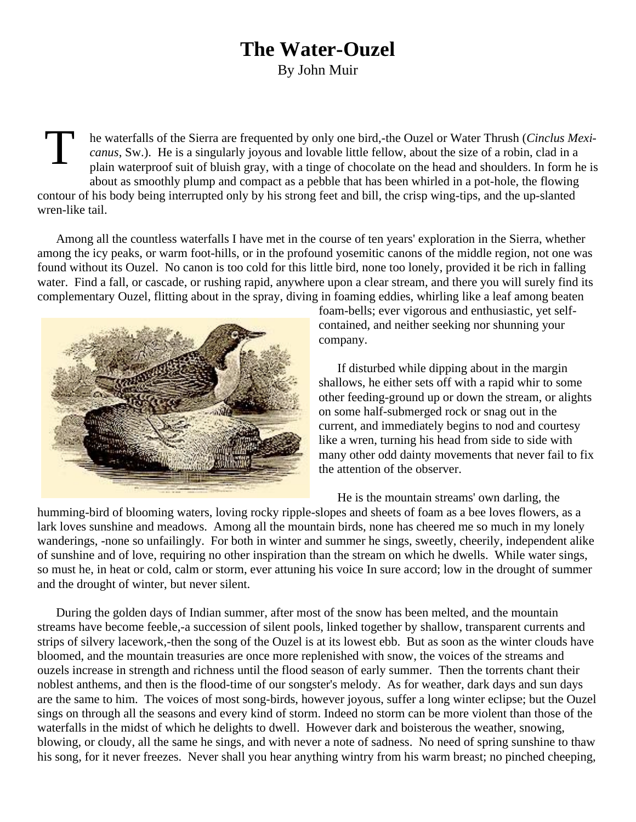## **The Water-Ouzel**

By John Muir

T he waterfalls of the Sierra are frequented by only one bird,-the Ouzel or Water Thrush (*Cinclus Mexicanus*, Sw.). He is a singularly joyous and lovable little fellow, about the size of a robin, clad in a plain waterproof suit of bluish gray, with a tinge of chocolate on the head and shoulders. In form he is about as smoothly plump and compact as a pebble that has been whirled in a pot-hole, the flowing contour of his body being interrupted only by his strong feet and bill, the crisp wing-tips, and the up-slanted wren-like tail.

Among all the countless waterfalls I have met in the course of ten years' exploration in the Sierra, whether among the icy peaks, or warm foot-hills, or in the profound yosemitic canons of the middle region, not one was found without its Ouzel. No canon is too cold for this little bird, none too lonely, provided it be rich in falling water. Find a fall, or cascade, or rushing rapid, anywhere upon a clear stream, and there you will surely find its complementary Ouzel, flitting about in the spray, diving in foaming eddies, whirling like a leaf among beaten



foam-bells; ever vigorous and enthusiastic, yet selfcontained, and neither seeking nor shunning your company.

If disturbed while dipping about in the margin shallows, he either sets off with a rapid whir to some other feeding-ground up or down the stream, or alights on some half-submerged rock or snag out in the current, and immediately begins to nod and courtesy like a wren, turning his head from side to side with many other odd dainty movements that never fail to fix the attention of the observer.

He is the mountain streams' own darling, the

humming-bird of blooming waters, loving rocky ripple-slopes and sheets of foam as a bee loves flowers, as a lark loves sunshine and meadows. Among all the mountain birds, none has cheered me so much in my lonely wanderings, -none so unfailingly. For both in winter and summer he sings, sweetly, cheerily, independent alike of sunshine and of love, requiring no other inspiration than the stream on which he dwells. While water sings, so must he, in heat or cold, calm or storm, ever attuning his voice In sure accord; low in the drought of summer and the drought of winter, but never silent.

During the golden days of Indian summer, after most of the snow has been melted, and the mountain streams have become feeble,-a succession of silent pools, linked together by shallow, transparent currents and strips of silvery lacework,-then the song of the Ouzel is at its lowest ebb. But as soon as the winter clouds have bloomed, and the mountain treasuries are once more replenished with snow, the voices of the streams and ouzels increase in strength and richness until the flood season of early summer. Then the torrents chant their noblest anthems, and then is the flood-time of our songster's melody. As for weather, dark days and sun days are the same to him. The voices of most song-birds, however joyous, suffer a long winter eclipse; but the Ouzel sings on through all the seasons and every kind of storm. Indeed no storm can be more violent than those of the waterfalls in the midst of which he delights to dwell. However dark and boisterous the weather, snowing, blowing, or cloudy, all the same he sings, and with never a note of sadness. No need of spring sunshine to thaw his song, for it never freezes. Never shall you hear anything wintry from his warm breast; no pinched cheeping,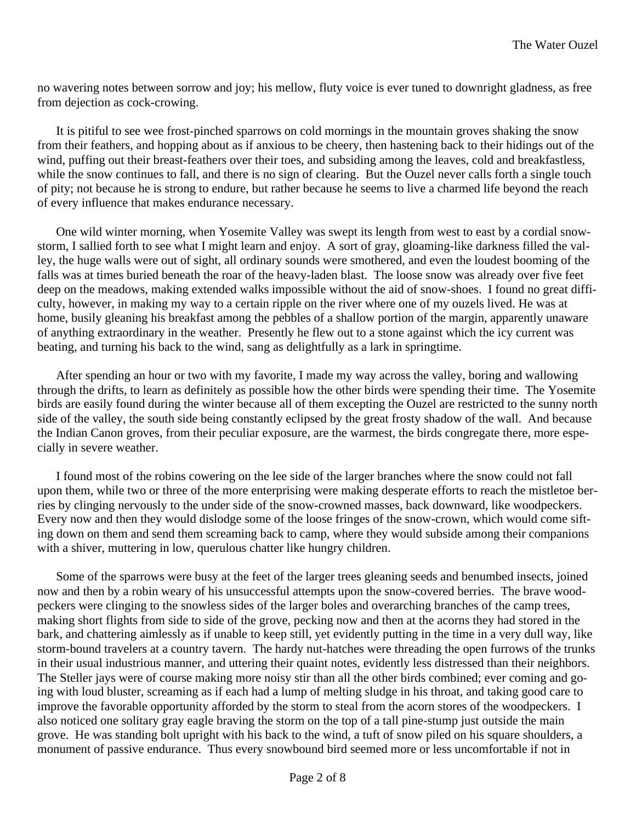no wavering notes between sorrow and joy; his mellow, fluty voice is ever tuned to downright gladness, as free from dejection as cock-crowing.

It is pitiful to see wee frost-pinched sparrows on cold mornings in the mountain groves shaking the snow from their feathers, and hopping about as if anxious to be cheery, then hastening back to their hidings out of the wind, puffing out their breast-feathers over their toes, and subsiding among the leaves, cold and breakfastless, while the snow continues to fall, and there is no sign of clearing. But the Ouzel never calls forth a single touch of pity; not because he is strong to endure, but rather because he seems to live a charmed life beyond the reach of every influence that makes endurance necessary.

One wild winter morning, when Yosemite Valley was swept its length from west to east by a cordial snowstorm, I sallied forth to see what I might learn and enjoy. A sort of gray, gloaming-like darkness filled the valley, the huge walls were out of sight, all ordinary sounds were smothered, and even the loudest booming of the falls was at times buried beneath the roar of the heavy-laden blast. The loose snow was already over five feet deep on the meadows, making extended walks impossible without the aid of snow-shoes. I found no great difficulty, however, in making my way to a certain ripple on the river where one of my ouzels lived. He was at home, busily gleaning his breakfast among the pebbles of a shallow portion of the margin, apparently unaware of anything extraordinary in the weather. Presently he flew out to a stone against which the icy current was beating, and turning his back to the wind, sang as delightfully as a lark in springtime.

After spending an hour or two with my favorite, I made my way across the valley, boring and wallowing through the drifts, to learn as definitely as possible how the other birds were spending their time. The Yosemite birds are easily found during the winter because all of them excepting the Ouzel are restricted to the sunny north side of the valley, the south side being constantly eclipsed by the great frosty shadow of the wall. And because the Indian Canon groves, from their peculiar exposure, are the warmest, the birds congregate there, more especially in severe weather.

I found most of the robins cowering on the lee side of the larger branches where the snow could not fall upon them, while two or three of the more enterprising were making desperate efforts to reach the mistletoe berries by clinging nervously to the under side of the snow-crowned masses, back downward, like woodpeckers. Every now and then they would dislodge some of the loose fringes of the snow-crown, which would come sifting down on them and send them screaming back to camp, where they would subside among their companions with a shiver, muttering in low, querulous chatter like hungry children.

Some of the sparrows were busy at the feet of the larger trees gleaning seeds and benumbed insects, joined now and then by a robin weary of his unsuccessful attempts upon the snow-covered berries. The brave woodpeckers were clinging to the snowless sides of the larger boles and overarching branches of the camp trees, making short flights from side to side of the grove, pecking now and then at the acorns they had stored in the bark, and chattering aimlessly as if unable to keep still, yet evidently putting in the time in a very dull way, like storm-bound travelers at a country tavern. The hardy nut-hatches were threading the open furrows of the trunks in their usual industrious manner, and uttering their quaint notes, evidently less distressed than their neighbors. The Steller jays were of course making more noisy stir than all the other birds combined; ever coming and going with loud bluster, screaming as if each had a lump of melting sludge in his throat, and taking good care to improve the favorable opportunity afforded by the storm to steal from the acorn stores of the woodpeckers. I also noticed one solitary gray eagle braving the storm on the top of a tall pine-stump just outside the main grove. He was standing bolt upright with his back to the wind, a tuft of snow piled on his square shoulders, a monument of passive endurance. Thus every snowbound bird seemed more or less uncomfortable if not in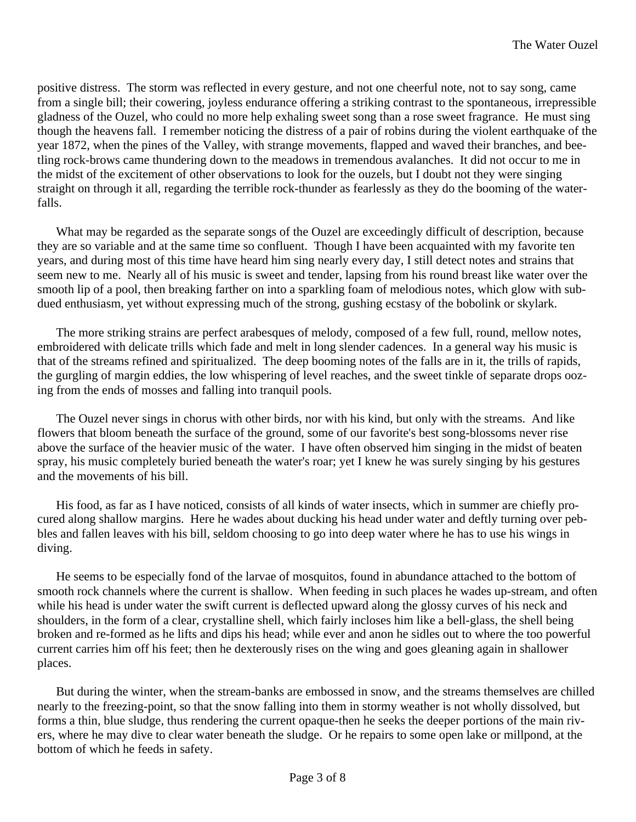positive distress. The storm was reflected in every gesture, and not one cheerful note, not to say song, came from a single bill; their cowering, joyless endurance offering a striking contrast to the spontaneous, irrepressible gladness of the Ouzel, who could no more help exhaling sweet song than a rose sweet fragrance. He must sing though the heavens fall. I remember noticing the distress of a pair of robins during the violent earthquake of the year 1872, when the pines of the Valley, with strange movements, flapped and waved their branches, and beetling rock-brows came thundering down to the meadows in tremendous avalanches. It did not occur to me in the midst of the excitement of other observations to look for the ouzels, but I doubt not they were singing straight on through it all, regarding the terrible rock-thunder as fearlessly as they do the booming of the waterfalls.

What may be regarded as the separate songs of the Ouzel are exceedingly difficult of description, because they are so variable and at the same time so confluent. Though I have been acquainted with my favorite ten years, and during most of this time have heard him sing nearly every day, I still detect notes and strains that seem new to me. Nearly all of his music is sweet and tender, lapsing from his round breast like water over the smooth lip of a pool, then breaking farther on into a sparkling foam of melodious notes, which glow with subdued enthusiasm, yet without expressing much of the strong, gushing ecstasy of the bobolink or skylark.

The more striking strains are perfect arabesques of melody, composed of a few full, round, mellow notes, embroidered with delicate trills which fade and melt in long slender cadences. In a general way his music is that of the streams refined and spiritualized. The deep booming notes of the falls are in it, the trills of rapids, the gurgling of margin eddies, the low whispering of level reaches, and the sweet tinkle of separate drops oozing from the ends of mosses and falling into tranquil pools.

The Ouzel never sings in chorus with other birds, nor with his kind, but only with the streams. And like flowers that bloom beneath the surface of the ground, some of our favorite's best song-blossoms never rise above the surface of the heavier music of the water. I have often observed him singing in the midst of beaten spray, his music completely buried beneath the water's roar; yet I knew he was surely singing by his gestures and the movements of his bill.

His food, as far as I have noticed, consists of all kinds of water insects, which in summer are chiefly procured along shallow margins. Here he wades about ducking his head under water and deftly turning over pebbles and fallen leaves with his bill, seldom choosing to go into deep water where he has to use his wings in diving.

He seems to be especially fond of the larvae of mosquitos, found in abundance attached to the bottom of smooth rock channels where the current is shallow. When feeding in such places he wades up-stream, and often while his head is under water the swift current is deflected upward along the glossy curves of his neck and shoulders, in the form of a clear, crystalline shell, which fairly incloses him like a bell-glass, the shell being broken and re-formed as he lifts and dips his head; while ever and anon he sidles out to where the too powerful current carries him off his feet; then he dexterously rises on the wing and goes gleaning again in shallower places.

But during the winter, when the stream-banks are embossed in snow, and the streams themselves are chilled nearly to the freezing-point, so that the snow falling into them in stormy weather is not wholly dissolved, but forms a thin, blue sludge, thus rendering the current opaque-then he seeks the deeper portions of the main rivers, where he may dive to clear water beneath the sludge. Or he repairs to some open lake or millpond, at the bottom of which he feeds in safety.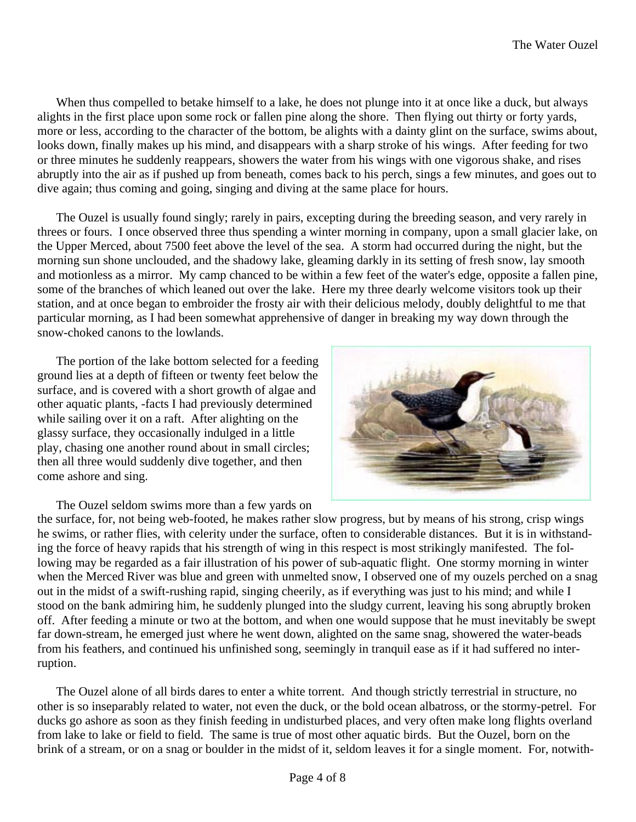When thus compelled to betake himself to a lake, he does not plunge into it at once like a duck, but always alights in the first place upon some rock or fallen pine along the shore. Then flying out thirty or forty yards, more or less, according to the character of the bottom, be alights with a dainty glint on the surface, swims about, looks down, finally makes up his mind, and disappears with a sharp stroke of his wings. After feeding for two or three minutes he suddenly reappears, showers the water from his wings with one vigorous shake, and rises abruptly into the air as if pushed up from beneath, comes back to his perch, sings a few minutes, and goes out to dive again; thus coming and going, singing and diving at the same place for hours.

The Ouzel is usually found singly; rarely in pairs, excepting during the breeding season, and very rarely in threes or fours. I once observed three thus spending a winter morning in company, upon a small glacier lake, on the Upper Merced, about 7500 feet above the level of the sea. A storm had occurred during the night, but the morning sun shone unclouded, and the shadowy lake, gleaming darkly in its setting of fresh snow, lay smooth and motionless as a mirror. My camp chanced to be within a few feet of the water's edge, opposite a fallen pine, some of the branches of which leaned out over the lake. Here my three dearly welcome visitors took up their station, and at once began to embroider the frosty air with their delicious melody, doubly delightful to me that particular morning, as I had been somewhat apprehensive of danger in breaking my way down through the snow-choked canons to the lowlands.

The portion of the lake bottom selected for a feeding ground lies at a depth of fifteen or twenty feet below the surface, and is covered with a short growth of algae and other aquatic plants, -facts I had previously determined while sailing over it on a raft. After alighting on the glassy surface, they occasionally indulged in a little play, chasing one another round about in small circles; then all three would suddenly dive together, and then come ashore and sing.

The Ouzel seldom swims more than a few yards on



the surface, for, not being web-footed, he makes rather slow progress, but by means of his strong, crisp wings he swims, or rather flies, with celerity under the surface, often to considerable distances. But it is in withstanding the force of heavy rapids that his strength of wing in this respect is most strikingly manifested. The following may be regarded as a fair illustration of his power of sub-aquatic flight. One stormy morning in winter when the Merced River was blue and green with unmelted snow, I observed one of my ouzels perched on a snag out in the midst of a swift-rushing rapid, singing cheerily, as if everything was just to his mind; and while I stood on the bank admiring him, he suddenly plunged into the sludgy current, leaving his song abruptly broken off. After feeding a minute or two at the bottom, and when one would suppose that he must inevitably be swept far down-stream, he emerged just where he went down, alighted on the same snag, showered the water-beads from his feathers, and continued his unfinished song, seemingly in tranquil ease as if it had suffered no interruption.

The Ouzel alone of all birds dares to enter a white torrent. And though strictly terrestrial in structure, no other is so inseparably related to water, not even the duck, or the bold ocean albatross, or the stormy-petrel. For ducks go ashore as soon as they finish feeding in undisturbed places, and very often make long flights overland from lake to lake or field to field. The same is true of most other aquatic birds. But the Ouzel, born on the brink of a stream, or on a snag or boulder in the midst of it, seldom leaves it for a single moment. For, notwith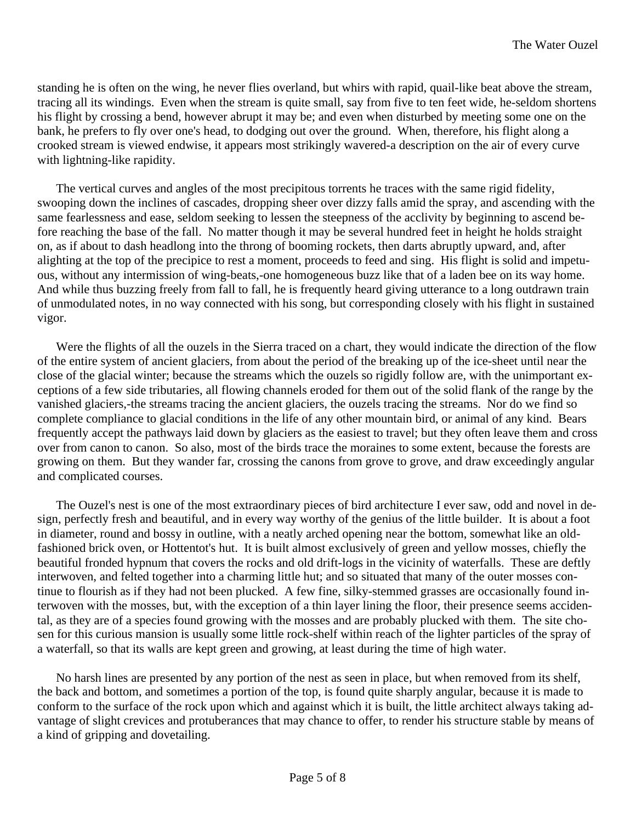standing he is often on the wing, he never flies overland, but whirs with rapid, quail-like beat above the stream, tracing all its windings. Even when the stream is quite small, say from five to ten feet wide, he-seldom shortens his flight by crossing a bend, however abrupt it may be; and even when disturbed by meeting some one on the bank, he prefers to fly over one's head, to dodging out over the ground. When, therefore, his flight along a crooked stream is viewed endwise, it appears most strikingly wavered-a description on the air of every curve with lightning-like rapidity.

The vertical curves and angles of the most precipitous torrents he traces with the same rigid fidelity, swooping down the inclines of cascades, dropping sheer over dizzy falls amid the spray, and ascending with the same fearlessness and ease, seldom seeking to lessen the steepness of the acclivity by beginning to ascend before reaching the base of the fall. No matter though it may be several hundred feet in height he holds straight on, as if about to dash headlong into the throng of booming rockets, then darts abruptly upward, and, after alighting at the top of the precipice to rest a moment, proceeds to feed and sing. His flight is solid and impetuous, without any intermission of wing-beats,-one homogeneous buzz like that of a laden bee on its way home. And while thus buzzing freely from fall to fall, he is frequently heard giving utterance to a long outdrawn train of unmodulated notes, in no way connected with his song, but corresponding closely with his flight in sustained vigor.

Were the flights of all the ouzels in the Sierra traced on a chart, they would indicate the direction of the flow of the entire system of ancient glaciers, from about the period of the breaking up of the ice-sheet until near the close of the glacial winter; because the streams which the ouzels so rigidly follow are, with the unimportant exceptions of a few side tributaries, all flowing channels eroded for them out of the solid flank of the range by the vanished glaciers,-the streams tracing the ancient glaciers, the ouzels tracing the streams. Nor do we find so complete compliance to glacial conditions in the life of any other mountain bird, or animal of any kind. Bears frequently accept the pathways laid down by glaciers as the easiest to travel; but they often leave them and cross over from canon to canon. So also, most of the birds trace the moraines to some extent, because the forests are growing on them. But they wander far, crossing the canons from grove to grove, and draw exceedingly angular and complicated courses.

The Ouzel's nest is one of the most extraordinary pieces of bird architecture I ever saw, odd and novel in design, perfectly fresh and beautiful, and in every way worthy of the genius of the little builder. It is about a foot in diameter, round and bossy in outline, with a neatly arched opening near the bottom, somewhat like an oldfashioned brick oven, or Hottentot's hut. It is built almost exclusively of green and yellow mosses, chiefly the beautiful fronded hypnum that covers the rocks and old drift-logs in the vicinity of waterfalls. These are deftly interwoven, and felted together into a charming little hut; and so situated that many of the outer mosses continue to flourish as if they had not been plucked. A few fine, silky-stemmed grasses are occasionally found interwoven with the mosses, but, with the exception of a thin layer lining the floor, their presence seems accidental, as they are of a species found growing with the mosses and are probably plucked with them. The site chosen for this curious mansion is usually some little rock-shelf within reach of the lighter particles of the spray of a waterfall, so that its walls are kept green and growing, at least during the time of high water.

No harsh lines are presented by any portion of the nest as seen in place, but when removed from its shelf, the back and bottom, and sometimes a portion of the top, is found quite sharply angular, because it is made to conform to the surface of the rock upon which and against which it is built, the little architect always taking advantage of slight crevices and protuberances that may chance to offer, to render his structure stable by means of a kind of gripping and dovetailing.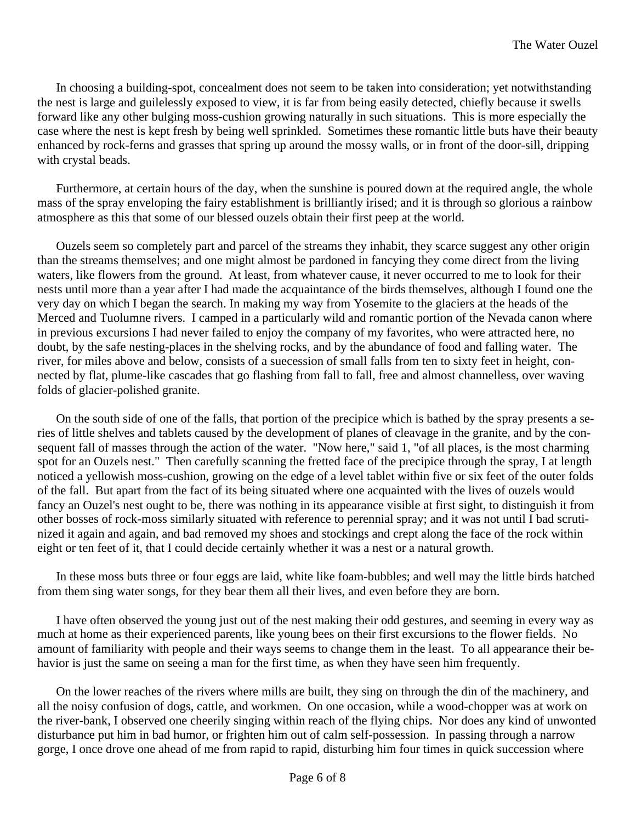In choosing a building-spot, concealment does not seem to be taken into consideration; yet notwithstanding the nest is large and guilelessly exposed to view, it is far from being easily detected, chiefly because it swells forward like any other bulging moss-cushion growing naturally in such situations. This is more especially the case where the nest is kept fresh by being well sprinkled. Sometimes these romantic little buts have their beauty enhanced by rock-ferns and grasses that spring up around the mossy walls, or in front of the door-sill, dripping with crystal beads.

Furthermore, at certain hours of the day, when the sunshine is poured down at the required angle, the whole mass of the spray enveloping the fairy establishment is brilliantly irised; and it is through so glorious a rainbow atmosphere as this that some of our blessed ouzels obtain their first peep at the world.

Ouzels seem so completely part and parcel of the streams they inhabit, they scarce suggest any other origin than the streams themselves; and one might almost be pardoned in fancying they come direct from the living waters, like flowers from the ground. At least, from whatever cause, it never occurred to me to look for their nests until more than a year after I had made the acquaintance of the birds themselves, although I found one the very day on which I began the search. In making my way from Yosemite to the glaciers at the heads of the Merced and Tuolumne rivers. I camped in a particularly wild and romantic portion of the Nevada canon where in previous excursions I had never failed to enjoy the company of my favorites, who were attracted here, no doubt, by the safe nesting-places in the shelving rocks, and by the abundance of food and falling water. The river, for miles above and below, consists of a suecession of small falls from ten to sixty feet in height, connected by flat, plume-like cascades that go flashing from fall to fall, free and almost channelless, over waving folds of glacier-polished granite.

On the south side of one of the falls, that portion of the precipice which is bathed by the spray presents a series of little shelves and tablets caused by the development of planes of cleavage in the granite, and by the consequent fall of masses through the action of the water. "Now here," said 1, "of all places, is the most charming spot for an Ouzels nest." Then carefully scanning the fretted face of the precipice through the spray, I at length noticed a yellowish moss-cushion, growing on the edge of a level tablet within five or six feet of the outer folds of the fall. But apart from the fact of its being situated where one acquainted with the lives of ouzels would fancy an Ouzel's nest ought to be, there was nothing in its appearance visible at first sight, to distinguish it from other bosses of rock-moss similarly situated with reference to perennial spray; and it was not until I bad scrutinized it again and again, and bad removed my shoes and stockings and crept along the face of the rock within eight or ten feet of it, that I could decide certainly whether it was a nest or a natural growth.

In these moss buts three or four eggs are laid, white like foam-bubbles; and well may the little birds hatched from them sing water songs, for they bear them all their lives, and even before they are born.

I have often observed the young just out of the nest making their odd gestures, and seeming in every way as much at home as their experienced parents, like young bees on their first excursions to the flower fields. No amount of familiarity with people and their ways seems to change them in the least. To all appearance their behavior is just the same on seeing a man for the first time, as when they have seen him frequently.

On the lower reaches of the rivers where mills are built, they sing on through the din of the machinery, and all the noisy confusion of dogs, cattle, and workmen. On one occasion, while a wood-chopper was at work on the river-bank, I observed one cheerily singing within reach of the flying chips. Nor does any kind of unwonted disturbance put him in bad humor, or frighten him out of calm self-possession. In passing through a narrow gorge, I once drove one ahead of me from rapid to rapid, disturbing him four times in quick succession where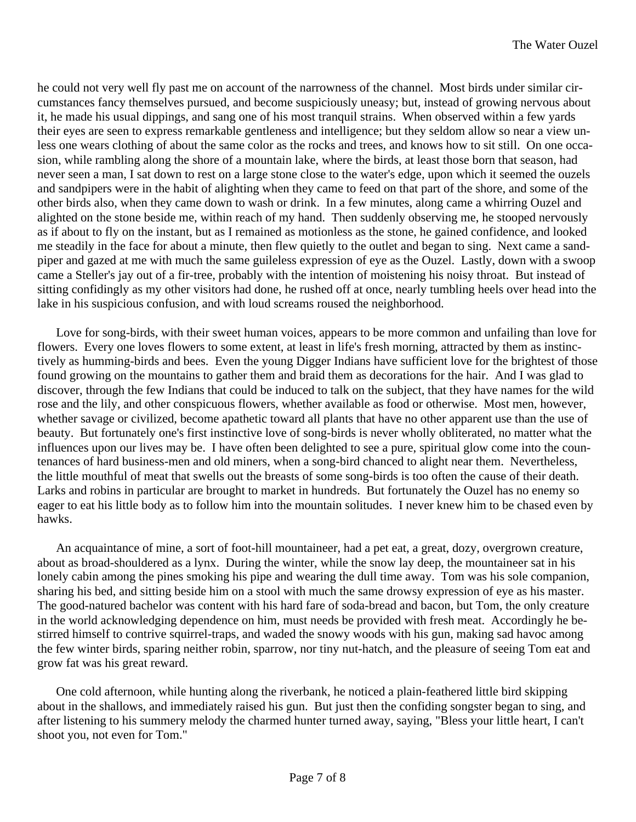he could not very well fly past me on account of the narrowness of the channel. Most birds under similar circumstances fancy themselves pursued, and become suspiciously uneasy; but, instead of growing nervous about it, he made his usual dippings, and sang one of his most tranquil strains. When observed within a few yards their eyes are seen to express remarkable gentleness and intelligence; but they seldom allow so near a view unless one wears clothing of about the same color as the rocks and trees, and knows how to sit still. On one occasion, while rambling along the shore of a mountain lake, where the birds, at least those born that season, had never seen a man, I sat down to rest on a large stone close to the water's edge, upon which it seemed the ouzels and sandpipers were in the habit of alighting when they came to feed on that part of the shore, and some of the other birds also, when they came down to wash or drink. In a few minutes, along came a whirring Ouzel and alighted on the stone beside me, within reach of my hand. Then suddenly observing me, he stooped nervously as if about to fly on the instant, but as I remained as motionless as the stone, he gained confidence, and looked me steadily in the face for about a minute, then flew quietly to the outlet and began to sing. Next came a sandpiper and gazed at me with much the same guileless expression of eye as the Ouzel. Lastly, down with a swoop came a Steller's jay out of a fir-tree, probably with the intention of moistening his noisy throat. But instead of sitting confidingly as my other visitors had done, he rushed off at once, nearly tumbling heels over head into the lake in his suspicious confusion, and with loud screams roused the neighborhood.

Love for song-birds, with their sweet human voices, appears to be more common and unfailing than love for flowers. Every one loves flowers to some extent, at least in life's fresh morning, attracted by them as instinctively as humming-birds and bees. Even the young Digger Indians have sufficient love for the brightest of those found growing on the mountains to gather them and braid them as decorations for the hair. And I was glad to discover, through the few Indians that could be induced to talk on the subject, that they have names for the wild rose and the lily, and other conspicuous flowers, whether available as food or otherwise. Most men, however, whether savage or civilized, become apathetic toward all plants that have no other apparent use than the use of beauty. But fortunately one's first instinctive love of song-birds is never wholly obliterated, no matter what the influences upon our lives may be. I have often been delighted to see a pure, spiritual glow come into the countenances of hard business-men and old miners, when a song-bird chanced to alight near them. Nevertheless, the little mouthful of meat that swells out the breasts of some song-birds is too often the cause of their death. Larks and robins in particular are brought to market in hundreds. But fortunately the Ouzel has no enemy so eager to eat his little body as to follow him into the mountain solitudes. I never knew him to be chased even by hawks.

An acquaintance of mine, a sort of foot-hill mountaineer, had a pet eat, a great, dozy, overgrown creature, about as broad-shouldered as a lynx. During the winter, while the snow lay deep, the mountaineer sat in his lonely cabin among the pines smoking his pipe and wearing the dull time away. Tom was his sole companion, sharing his bed, and sitting beside him on a stool with much the same drowsy expression of eye as his master. The good-natured bachelor was content with his hard fare of soda-bread and bacon, but Tom, the only creature in the world acknowledging dependence on him, must needs be provided with fresh meat. Accordingly he bestirred himself to contrive squirrel-traps, and waded the snowy woods with his gun, making sad havoc among the few winter birds, sparing neither robin, sparrow, nor tiny nut-hatch, and the pleasure of seeing Tom eat and grow fat was his great reward.

One cold afternoon, while hunting along the riverbank, he noticed a plain-feathered little bird skipping about in the shallows, and immediately raised his gun. But just then the confiding songster began to sing, and after listening to his summery melody the charmed hunter turned away, saying, "Bless your little heart, I can't shoot you, not even for Tom."